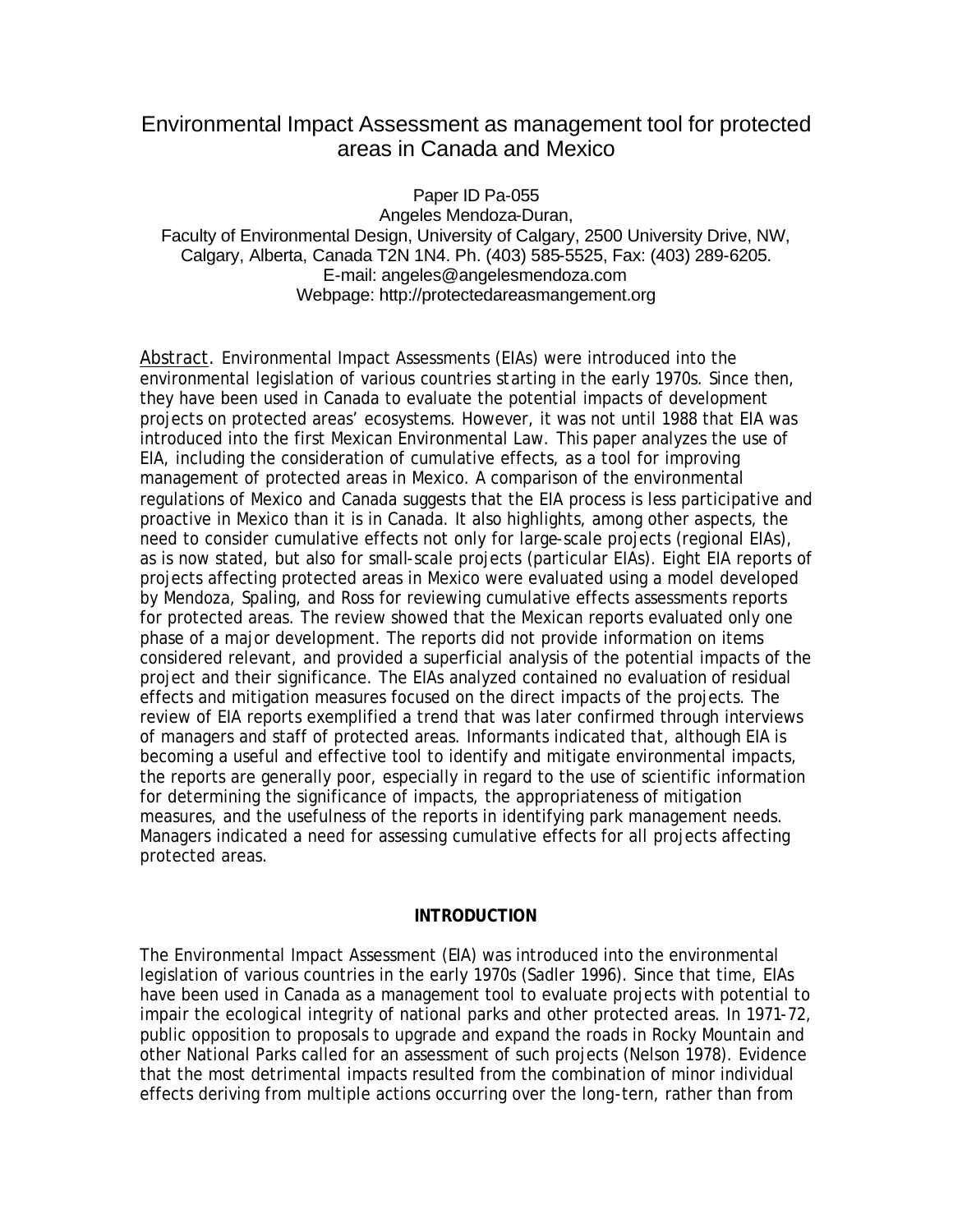# Environmental Impact Assessment as management tool for protected areas in Canada and Mexico

Paper ID Pa-055 Angeles Mendoza-Duran, Faculty of Environmental Design, University of Calgary, 2500 University Drive, NW, Calgary, Alberta, Canada T2N 1N4. Ph. (403) 585-5525, Fax: (403) 289-6205. E-mail: angeles@angelesmendoza.com Webpage: http://protectedareasmangement.org

Abstract. Environmental Impact Assessments (EIAs) were introduced into the environmental legislation of various countries starting in the early 1970s. Since then, they have been used in Canada to evaluate the potential impacts of development projects on protected areas' ecosystems. However, it was not until 1988 that EIA was introduced into the first Mexican Environmental Law. This paper analyzes the use of EIA, including the consideration of cumulative effects, as a tool for improving management of protected areas in Mexico. A comparison of the environmental regulations of Mexico and Canada suggests that the EIA process is less participative and proactive in Mexico than it is in Canada. It also highlights, among other aspects, the need to consider cumulative effects not only for large-scale projects (regional EIAs), as is now stated, but also for small-scale projects (particular EIAs). Eight EIA reports of projects affecting protected areas in Mexico were evaluated using a model developed by Mendoza, Spaling, and Ross for reviewing cumulative effects assessments reports for protected areas. The review showed that the Mexican reports evaluated only one phase of a major development. The reports did not provide information on items considered relevant, and provided a superficial analysis of the potential impacts of the project and their significance. The EIAs analyzed contained no evaluation of residual effects and mitigation measures focused on the direct impacts of the projects. The review of EIA reports exemplified a trend that was later confirmed through interviews of managers and staff of protected areas. Informants indicated that, although EIA is becoming a useful and effective tool to identify and mitigate environmental impacts, the reports are generally poor, especially in regard to the use of scientific information for determining the significance of impacts, the appropriateness of mitigation measures, and the usefulness of the reports in identifying park management needs. Managers indicated a need for assessing cumulative effects for all projects affecting protected areas.

#### **INTRODUCTION**

The Environmental Impact Assessment (EIA) was introduced into the environmental legislation of various countries in the early 1970s (Sadler 1996). Since that time, EIAs have been used in Canada as a management tool to evaluate projects with potential to impair the ecological integrity of national parks and other protected areas. In 1971-72, public opposition to proposals to upgrade and expand the roads in Rocky Mountain and other National Parks called for an assessment of such projects (Nelson 1978). Evidence that the most detrimental impacts resulted from the combination of minor individual effects deriving from multiple actions occurring over the long-tern, rather than from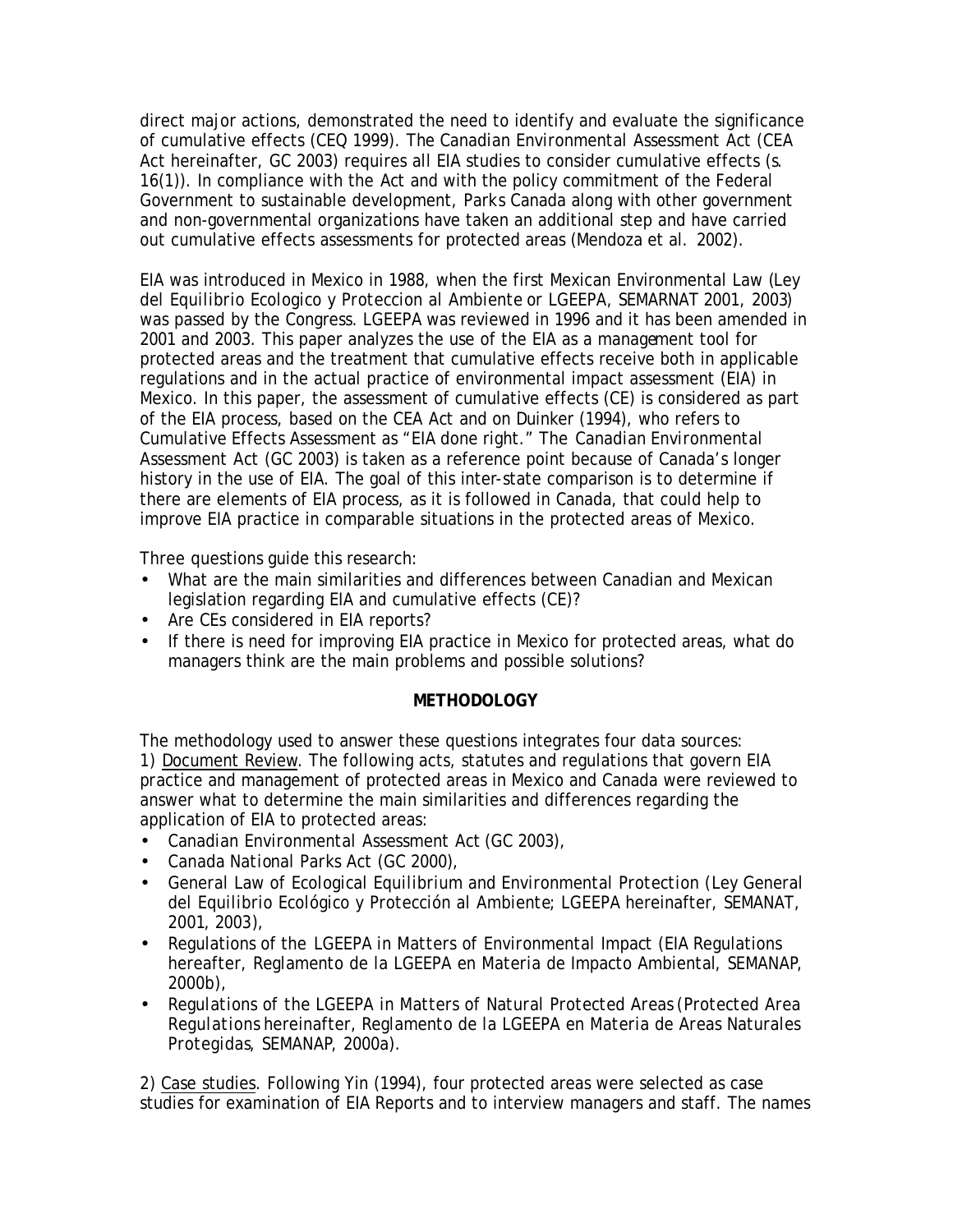direct major actions, demonstrated the need to identify and evaluate the significance of cumulative effects (CEQ 1999). The *Canadian Environmental Assessment Act* (CEA Act hereinafter, GC 2003) requires all EIA studies to consider cumulative effects (s. 16(1)). In compliance with the *Act* and with the policy commitment of the Federal Government to sustainable development, Parks Canada along with other government and non-governmental organizations have taken an additional step and have carried out cumulative effects assessments for protected areas (Mendoza et al. 2002).

EIA was introduced in Mexico in 1988, when the first Mexican Environmental Law (*Ley del Equilibrio Ecologico y Proteccion al Ambiente* or *LGEEPA*, SEMARNAT 2001, 2003) was passed by the Congress. *LGEEPA* was reviewed in 1996 and it has been amended in 2001 and 2003. This paper analyzes the use of the EIA as a management tool for protected areas and the treatment that cumulative effects receive both in applicable regulations and in the actual practice of environmental impact assessment (EIA) in Mexico. In this paper, the assessment of cumulative effects (CE) is considered as part of the EIA process, based on the *CEA Act* and on Duinker (1994), who refers to Cumulative Effects Assessment as "EIA done right." The *Canadian Environmental Assessment Act* (GC 2003) is taken as a reference point because of Canada's longer history in the use of EIA. The goal of this inter-state comparison is to determine if there are elements of EIA process, as it is followed in Canada, that could help to improve EIA practice in comparable situations in the protected areas of Mexico.

Three questions guide this research:

- What are the main similarities and differences between Canadian and Mexican legislation regarding EIA and cumulative effects (CE)?
- Are CEs considered in EIA reports?
- If there is need for improving EIA practice in Mexico for protected areas, what do managers think are the main problems and possible solutions?

## **METHODOLOGY**

The methodology used to answer these questions integrates four data sources: 1) Document Review. The following acts, statutes and regulations that govern EIA practice and management of protected areas in Mexico and Canada were reviewed to answer what to determine the main similarities and differences regarding the application of EIA to protected areas:

- *Canadian Environmental Assessment Act* (GC 2003),
- *Canada National Parks Act* (GC 2000),
- *General Law of Ecological Equilibrium and Environmental Protection* (*Ley General del Equilibrio Ecológico y Protección al Ambiente*; *LGEEPA* hereinafter, SEMANAT, 2001, 2003),
- Regulations of the *LGEEPA in Matters of Environmental Impact* (EIA Regulations hereafter, *Reglamento de la LGEEPA en Materia de Impacto Ambiental*, SEMANAP, 2000b),
- *Regulations of the LGEEPA in Matters of Natural Protected Areas* (*Protected Area Regulations* hereinafter, *Reglamento de la LGEEPA en Materia de Areas Naturales Protegidas*, SEMANAP, 2000a).

2) Case studies. Following Yin (1994), four protected areas were selected as case studies for examination of EIA Reports and to interview managers and staff. The names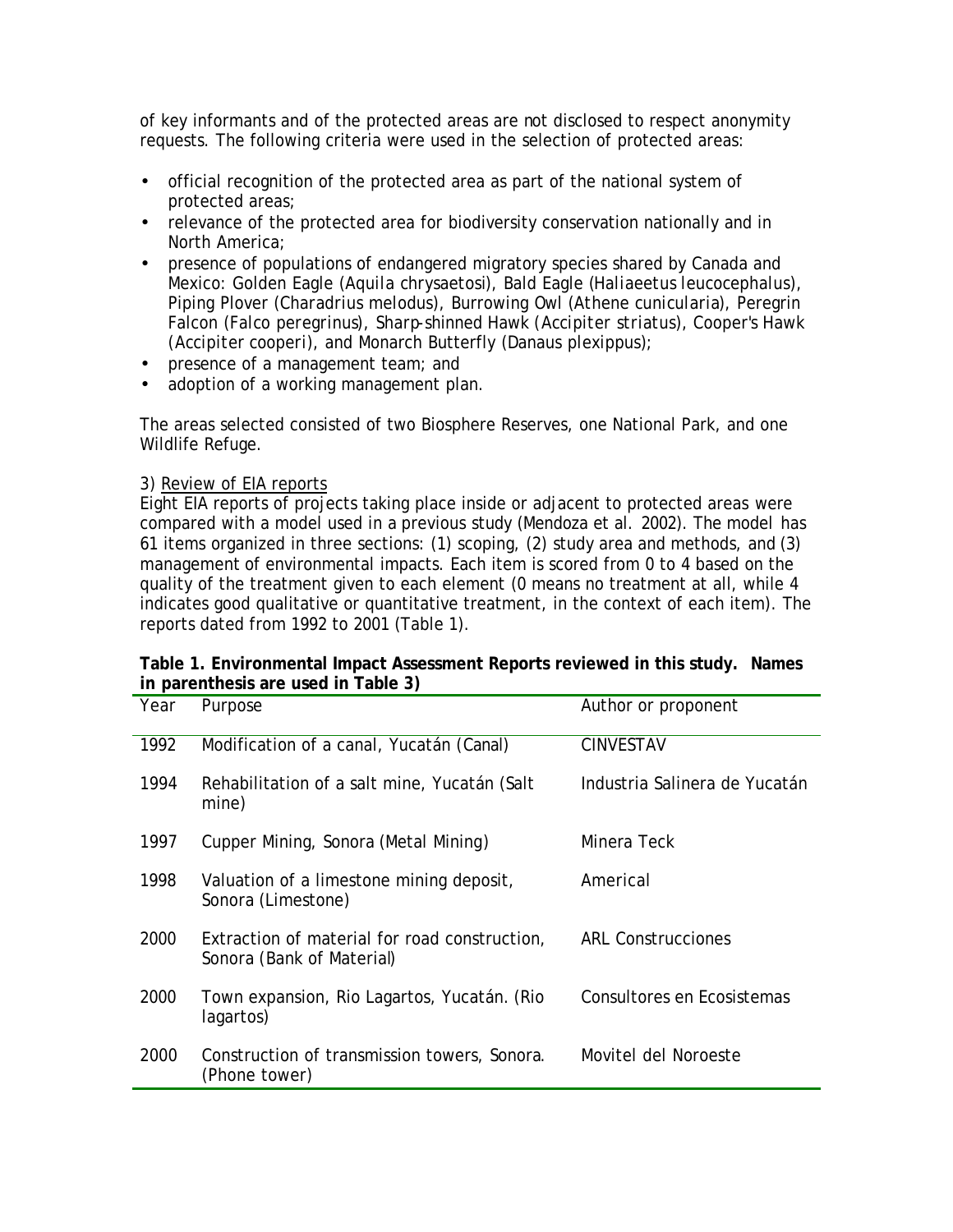of key informants and of the protected areas are not disclosed to respect anonymity requests. The following criteria were used in the selection of protected areas:

- official recognition of the protected area as part of the national system of protected areas;
- relevance of the protected area for biodiversity conservation nationally and in North America;
- presence of populations of endangered migratory species shared by Canada and Mexico: Golden Eagle (*Aquila chrysaetosi*), Bald Eagle (*Haliaeetus leucocephalus*), Piping Plover (*Charadrius melodu*s), Burrowing Owl (*Athene cunicularia*), Peregrin Falcon (*Falco peregrinus*), Sharp-shinned Hawk (*Accipiter striatus*), Cooper's Hawk (*Accipiter cooperi*), and Monarch Butterfly (*Danaus plexippus*);
- presence of a management team; and
- adoption of a working management plan.

The areas selected consisted of two Biosphere Reserves, one National Park, and one Wildlife Refuge.

### 3) Review of EIA reports

Eight EIA reports of projects taking place inside or adjacent to protected areas were compared with a model used in a previous study (Mendoza et al. 2002). The model has 61 items organized in three sections: (1) scoping, (2) study area and methods, and (3) management of environmental impacts. Each item is scored from 0 to 4 based on the quality of the treatment given to each element (0 means no treatment at all, while 4 indicates good qualitative or quantitative treatment, in the context of each item). The reports dated from 1992 to 2001 (Table 1).

| Year | Purpose                                                                    | Author or proponent           |
|------|----------------------------------------------------------------------------|-------------------------------|
| 1992 | Modification of a canal, Yucatán (Canal)                                   | <b>CINVESTAV</b>              |
| 1994 | Rehabilitation of a salt mine, Yucatán (Salt<br>mine)                      | Industria Salinera de Yucatán |
| 1997 | Cupper Mining, Sonora (Metal Mining)                                       | Minera Teck                   |
| 1998 | Valuation of a limestone mining deposit,<br>Sonora (Limestone)             | Americal                      |
| 2000 | Extraction of material for road construction,<br>Sonora (Bank of Material) | <b>ARL Construcciones</b>     |
| 2000 | Town expansion, Rio Lagartos, Yucatán. (Rio<br>lagartos)                   | Consultores en Ecosistemas    |
| 2000 | Construction of transmission towers, Sonora.<br>(Phone tower)              | Movitel del Noroeste          |

| Table 1. Environmental Impact Assessment Reports reviewed in this study. Names |  |
|--------------------------------------------------------------------------------|--|
| in parenthesis are used in Table 3)                                            |  |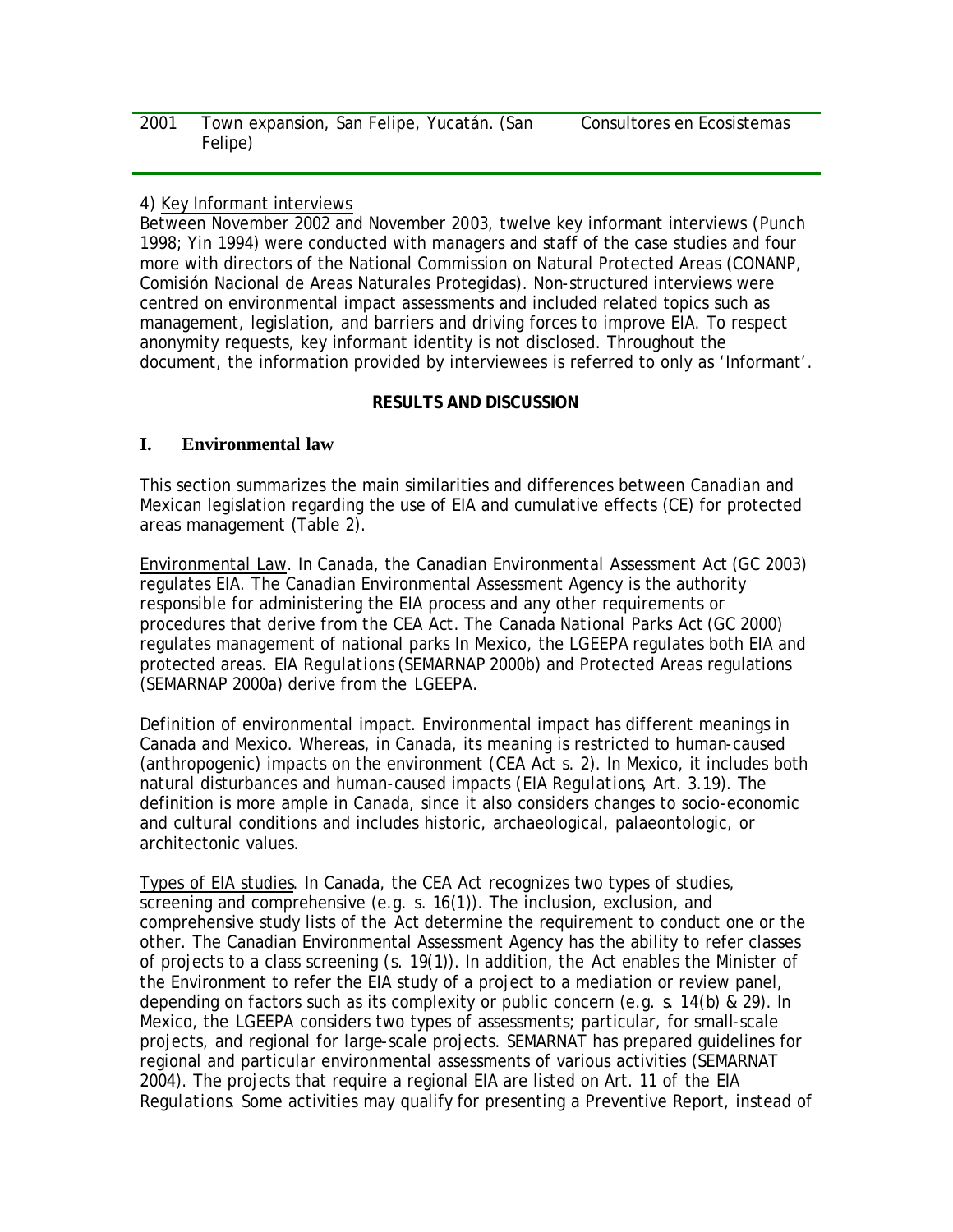| 2001 | Town expansion, San Felipe, Yucatán. (San |  | Consultores en Ecosistemas |
|------|-------------------------------------------|--|----------------------------|
|      | Felipe)                                   |  |                            |

### 4) Key Informant interviews

Between November 2002 and November 2003, twelve key informant interviews (Punch 1998; Yin 1994) were conducted with managers and staff of the case studies and four more with directors of the National Commission on Natural Protected Areas (CONANP, Comisión Nacional de Areas Naturales Protegidas). Non-structured interviews were centred on environmental impact assessments and included related topics such as management, legislation, and barriers and driving forces to improve EIA. To respect anonymity requests, key informant identity is not disclosed. Throughout the document, the information provided by interviewees is referred to only as 'Informant'.

### **RESULTS AND DISCUSSION**

### **I. Environmental law**

This section summarizes the main similarities and differences between Canadian and Mexican legislation regarding the use of EIA and cumulative effects (CE) for protected areas management (Table 2).

Environmental Law. In Canada, the *Canadian Environmental Assessment Act* (GC 2003) regulates EIA. The Canadian Environmental Assessment Agency is the authority responsible for administering the EIA process and any other requirements or procedures that derive from the *CEA Act*. The *Canada National Parks Act* (GC 2000) regulates management of national parks In Mexico, the *LGEEPA* regulates both EIA and protected areas. *EIA Regulations* (SEMARNAP 2000b) and Protected Areas regulations (SEMARNAP 2000a) derive from the *LGEEPA*.

Definition of environmental impact. Environmental impact has different meanings in Canada and Mexico. Whereas, in Canada, its meaning is restricted to human-caused (anthropogenic) impacts on the environment (*CEA Act* s. 2). In Mexico, it includes both natural disturbances and human-caused impacts (*EIA Regulations*, Art. 3.19). The definition is more ample in Canada, since it also considers changes to socio-economic and cultural conditions and includes historic, archaeological, palaeontologic, or architectonic values.

Types of EIA studies. In Canada, the *CEA Act* recognizes two types of studies, screening and comprehensive (e.g. s. 16(1)). The inclusion, exclusion, and comprehensive study lists of the *Act* determine the requirement to conduct one or the other. The Canadian Environmental Assessment Agency has the ability to refer classes of projects to a class screening (s. 19(1)). In addition, the *Act* enables the Minister of the Environment to refer the EIA study of a project to a mediation or review panel, depending on factors such as its complexity or public concern (e.g. s. 14(b) & 29). In Mexico, the *LGEEPA* considers two types of assessments; particular, for small-scale projects, and regional for large-scale projects. SEMARNAT has prepared guidelines for regional and particular environmental assessments of various activities (SEMARNAT 2004). The projects that require a regional EIA are listed on Art. 11 of the *EIA Regulations*. Some activities may qualify for presenting a Preventive Report, instead of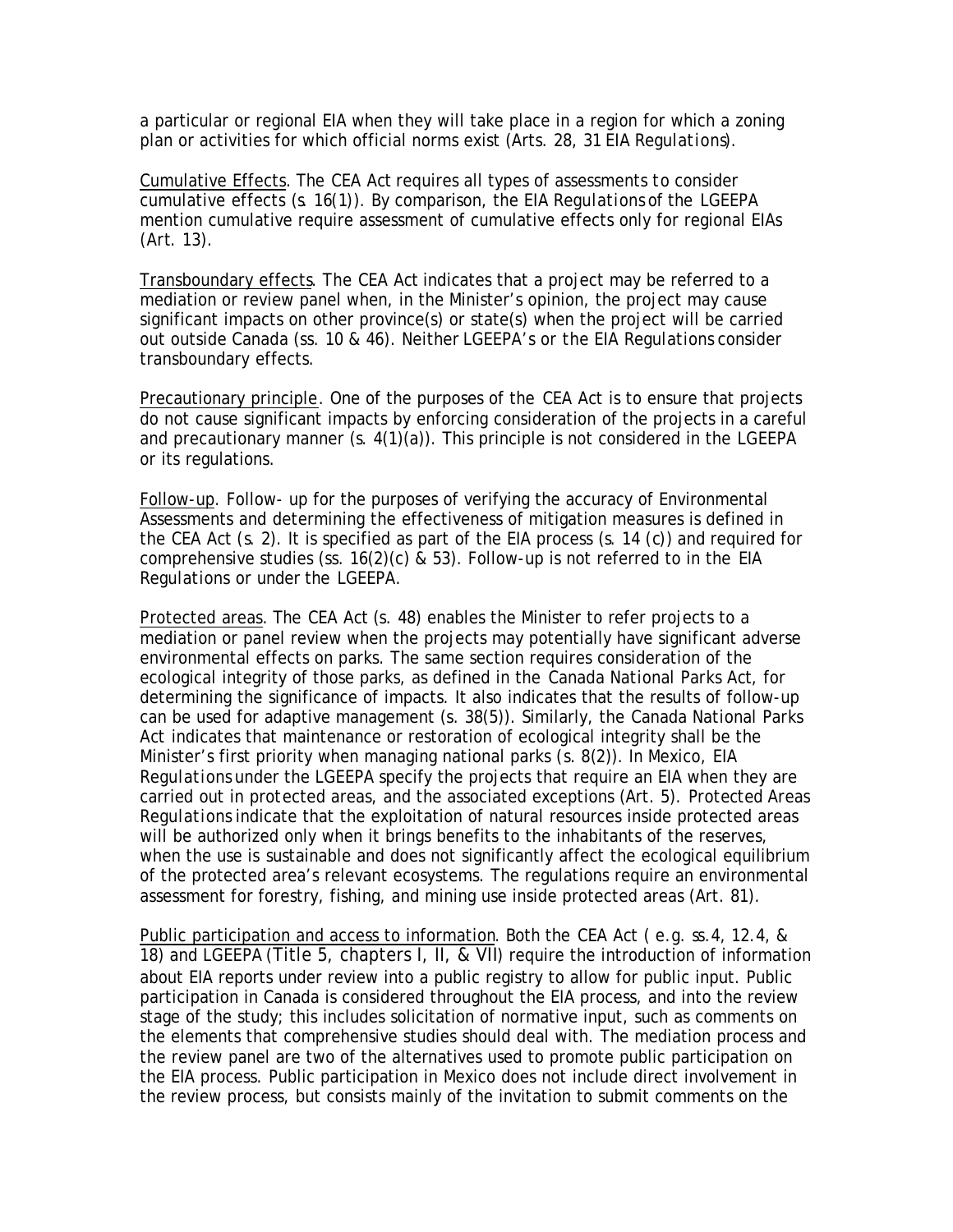a particular or regional EIA when they will take place in a region for which a zoning plan or activities for which official norms exist (Arts. 28, 31 *EIA Regulations*).

Cumulative Effects. The *CEA Act* requires all types of assessments to consider cumulative effects (s. 16(1)). By comparison, the *EIA Regulations* of the *LGEEPA* mention cumulative require assessment of cumulative effects only for regional EIAs (Art. 13).

Transboundary effects. The *CEA Act* indicates that a project may be referred to a mediation or review panel when, in the Minister's opinion, the project may cause significant impacts on other province(s) or state(s) when the project will be carried out outside Canada (ss. 10 & 46). Neither *LGEEPA's or the EIA Regulations* consider transboundary effects.

Precautionary principle. One of the purposes of the *CEA Act* is to ensure that projects do not cause significant impacts by enforcing consideration of the projects in a careful and precautionary manner (s. 4(1)(a)). This principle is not considered in the *LGEEPA* or its regulations.

Follow-up. Follow- up for the purposes of verifying the accuracy of Environmental Assessments and determining the effectiveness of mitigation measures is defined in the *CEA Act* (s. 2). It is specified as part of the EIA process (s. 14 (c)) and required for comprehensive studies (ss. 16(2)(c) & 53). Follow-up is not referred to in the *EIA Regulations or* under the *LGEEPA*.

Protected areas. The *CEA Act* (s. 48) enables the Minister to refer projects to a mediation or panel review when the projects may potentially have significant adverse environmental effects on parks. The same section requires consideration of the ecological integrity of those parks, as defined in the *Canada National Parks Act*, for determining the significance of impacts. It also indicates that the results of follow-up can be used for adaptive management (s. 38(5)). Similarly, the *Canada National Parks Act* indicates that maintenance or restoration of ecological integrity shall be the Minister's first priority when managing national parks (s. 8(2)). In Mexico, *EIA Regulations* under the *LGEEPA* specify the projects that require an EIA when they are carried out in protected areas, and the associated exceptions (Art. 5). *Protected Areas Regulations* indicate that the exploitation of natural resources inside protected areas will be authorized only when it brings benefits to the inhabitants of the reserves, when the use is sustainable and does not significantly affect the ecological equilibrium of the protected area's relevant ecosystems. The regulations require an environmental assessment for forestry, fishing, and mining use inside protected areas (Art. 81).

Public participation and access to information. Both the *CEA Act* ( e.g. ss.4, 12.4, & 18) and *LGEEPA* (Title 5, chapters I, II, & VII) require the introduction of information about EIA reports under review into a public registry to allow for public input. Public participation in Canada is considered throughout the EIA process, and into the review stage of the study; this includes solicitation of normative input, such as comments on the elements that comprehensive studies should deal with. The mediation process and the review panel are two of the alternatives used to promote public participation on the EIA process. Public participation in Mexico does not include direct involvement in the review process, but consists mainly of the invitation to submit comments on the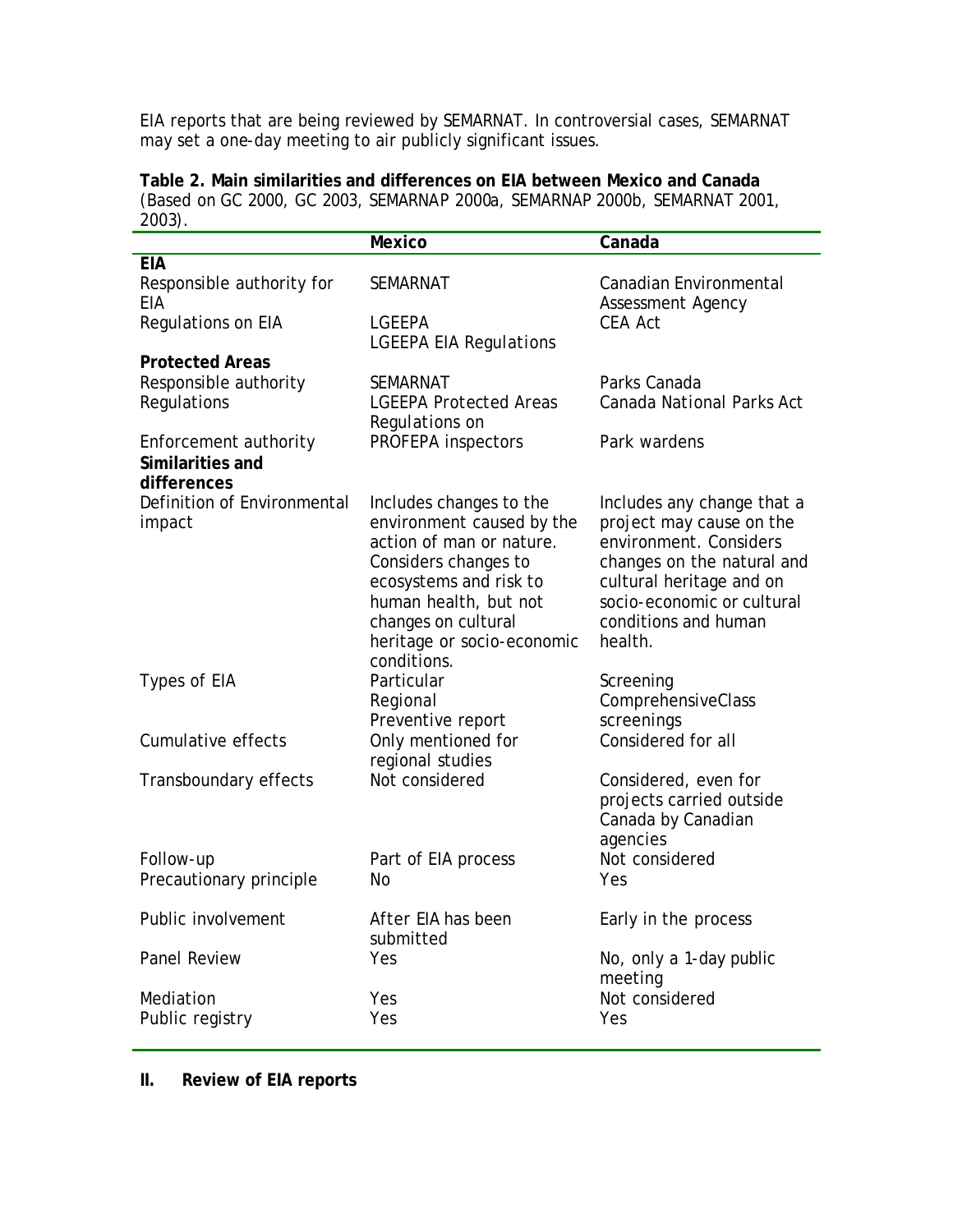EIA reports that are being reviewed by SEMARNAT. In controversial cases, SEMARNAT may set a one-day meeting to air publicly significant issues.

**Table 2. Main similarities and differences on EIA between Mexico and Canada** (Based on GC 2000, GC 2003, SEMARNAP 2000a, SEMARNAP 2000b, SEMARNAT 2001, 2003).

|                                                          | <b>Mexico</b>                                                                                                                                                                                                                   | Canada                                                                                                                                                                                                      |  |  |  |
|----------------------------------------------------------|---------------------------------------------------------------------------------------------------------------------------------------------------------------------------------------------------------------------------------|-------------------------------------------------------------------------------------------------------------------------------------------------------------------------------------------------------------|--|--|--|
| <b>EIA</b>                                               |                                                                                                                                                                                                                                 |                                                                                                                                                                                                             |  |  |  |
| Responsible authority for<br><b>EIA</b>                  | <b>SEMARNAT</b>                                                                                                                                                                                                                 | Canadian Environmental<br><b>Assessment Agency</b><br>CEA Act                                                                                                                                               |  |  |  |
| Regulations on EIA                                       | LGEEPA<br><b>LGEEPA EIA Regulations</b>                                                                                                                                                                                         |                                                                                                                                                                                                             |  |  |  |
| <b>Protected Areas</b>                                   |                                                                                                                                                                                                                                 |                                                                                                                                                                                                             |  |  |  |
| Responsible authority<br>Regulations                     | <b>SEMARNAT</b><br><b>LGEEPA Protected Areas</b>                                                                                                                                                                                | Parks Canada<br>Canada National Parks Act                                                                                                                                                                   |  |  |  |
| Enforcement authority<br>Similarities and<br>differences | Regulations on<br>PROFEPA inspectors                                                                                                                                                                                            | Park wardens                                                                                                                                                                                                |  |  |  |
| Definition of Environmental<br>impact                    | Includes changes to the<br>environment caused by the<br>action of man or nature.<br>Considers changes to<br>ecosystems and risk to<br>human health, but not<br>changes on cultural<br>heritage or socio-economic<br>conditions. | Includes any change that a<br>project may cause on the<br>environment. Considers<br>changes on the natural and<br>cultural heritage and on<br>socio-economic or cultural<br>conditions and human<br>health. |  |  |  |
| Types of EIA                                             | Particular<br>Regional<br>Preventive report                                                                                                                                                                                     | Screening<br>ComprehensiveClass<br>screenings                                                                                                                                                               |  |  |  |
| Cumulative effects                                       | Only mentioned for<br>regional studies                                                                                                                                                                                          | Considered for all                                                                                                                                                                                          |  |  |  |
| Transboundary effects                                    | Not considered                                                                                                                                                                                                                  | Considered, even for<br>projects carried outside<br>Canada by Canadian<br>agencies                                                                                                                          |  |  |  |
| Follow-up<br>Precautionary principle                     | Part of EIA process<br><b>No</b>                                                                                                                                                                                                | Not considered<br>Yes                                                                                                                                                                                       |  |  |  |
| Public involvement                                       | After EIA has been<br>submitted                                                                                                                                                                                                 | Early in the process                                                                                                                                                                                        |  |  |  |
| Panel Review                                             | Yes                                                                                                                                                                                                                             | No, only a 1-day public<br>meeting<br>Not considered<br>Yes                                                                                                                                                 |  |  |  |
| Mediation<br>Public registry                             | Yes<br>Yes                                                                                                                                                                                                                      |                                                                                                                                                                                                             |  |  |  |

# **II. Review of EIA reports**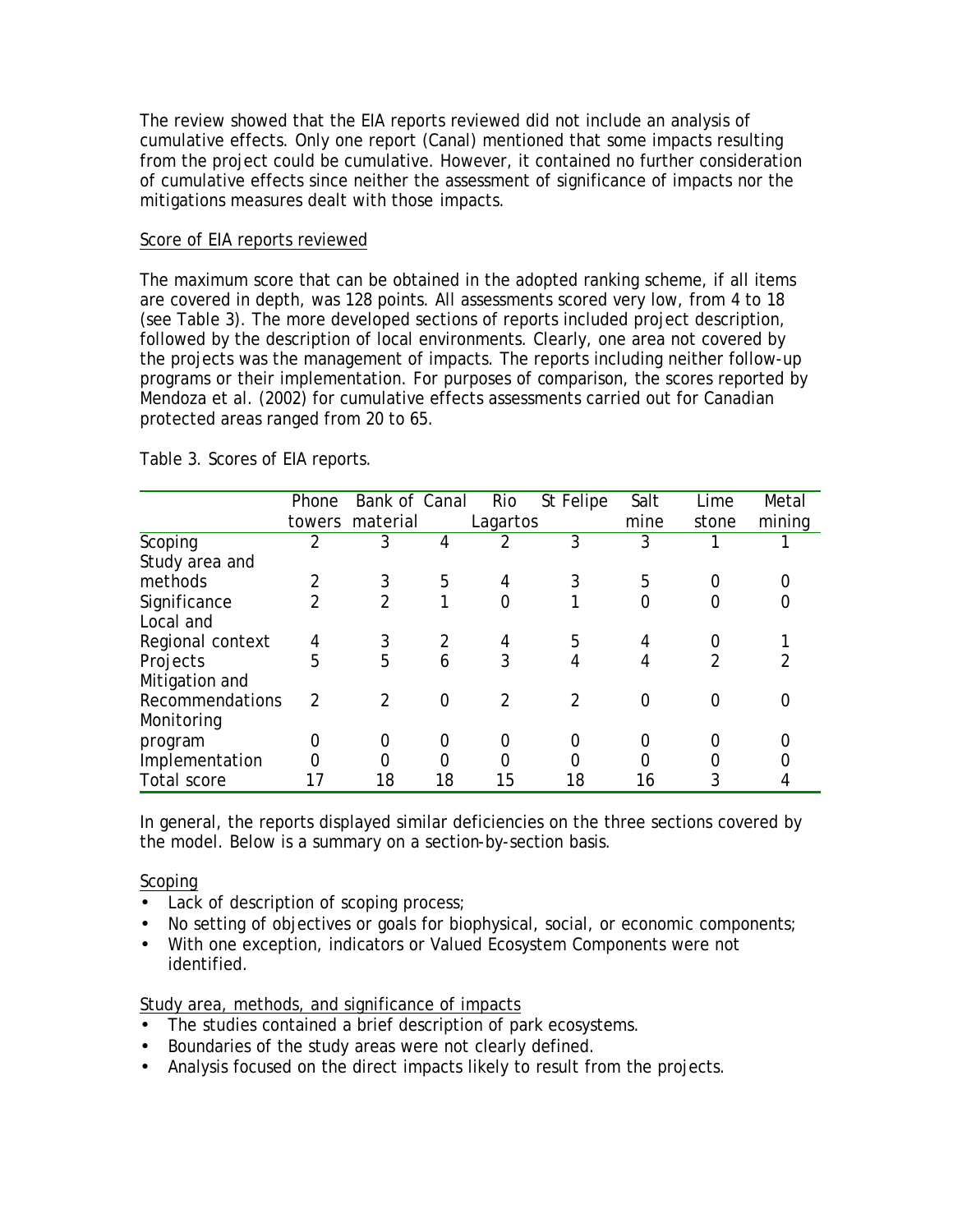The review showed that the EIA reports reviewed did not include an analysis of cumulative effects. Only one report (Canal) mentioned that some impacts resulting from the project could be cumulative. However, it contained no further consideration of cumulative effects since neither the assessment of significance of impacts nor the mitigations measures dealt with those impacts.

### Score of EIA reports reviewed

The maximum score that can be obtained in the adopted ranking scheme, if all items are covered in depth, was 128 points. All assessments scored very low, from 4 to 18 (see Table 3). The more developed sections of reports included project description, followed by the description of local environments. Clearly, one area not covered by the projects was the management of impacts. The reports including neither follow-up programs or their implementation. For purposes of comparison, the scores reported by Mendoza et al. (2002) for cumulative effects assessments carried out for Canadian protected areas ranged from 20 to 65.

|                  | Phone          | Bank of Canal   |    | Rio      | St Felipe | Salt     | Lime           | Metal  |
|------------------|----------------|-----------------|----|----------|-----------|----------|----------------|--------|
|                  |                | towers material |    | Lagartos |           | mine     | stone          | mining |
| Scoping          | $\overline{2}$ | 3               | 4  |          | 3         | 3        |                |        |
| Study area and   |                |                 |    |          |           |          |                |        |
| methods          | 2              | 3               | 5  | 4        | 3         | 5        | 0              |        |
| Significance     | $\mathfrak{D}$ | 2               | 1  | 0        | 1         | $\Omega$ | 0              | 0      |
| Local and        |                |                 |    |          |           |          |                |        |
| Regional context | 4              | 3               |    | 4        | 5         | 4        | O              |        |
| Projects         | 5              | 5               | 6  | 3        | 4         | 4        | $\mathfrak{D}$ |        |
| Mitigation and   |                |                 |    |          |           |          |                |        |
| Recommendations  | $\mathcal{P}$  | $\mathcal{P}$   | 0  | 2        | 2         | $\Omega$ | 0              | 0      |
| Monitoring       |                |                 |    |          |           |          |                |        |
| program          | $\mathcal{O}$  | 0               | 0  | 0        | 0         | 0        | 0              |        |
| Implementation   | 0              |                 | 0  | 0        | 0         | $\Omega$ |                |        |
| Total score      | 17             | 18              | 18 | 15       | 18        | 16       | 3              |        |

Table 3. Scores of EIA reports.

In general, the reports displayed similar deficiencies on the three sections covered by the model. Below is a summary on a section-by-section basis.

### Scoping

- Lack of description of scoping process;
- No setting of objectives or goals for biophysical, social, or economic components;
- With one exception, indicators or Valued Ecosystem Components were not identified.

Study area, methods, and significance of impacts

- The studies contained a brief description of park ecosystems.
- Boundaries of the study areas were not clearly defined.
- Analysis focused on the direct impacts likely to result from the projects.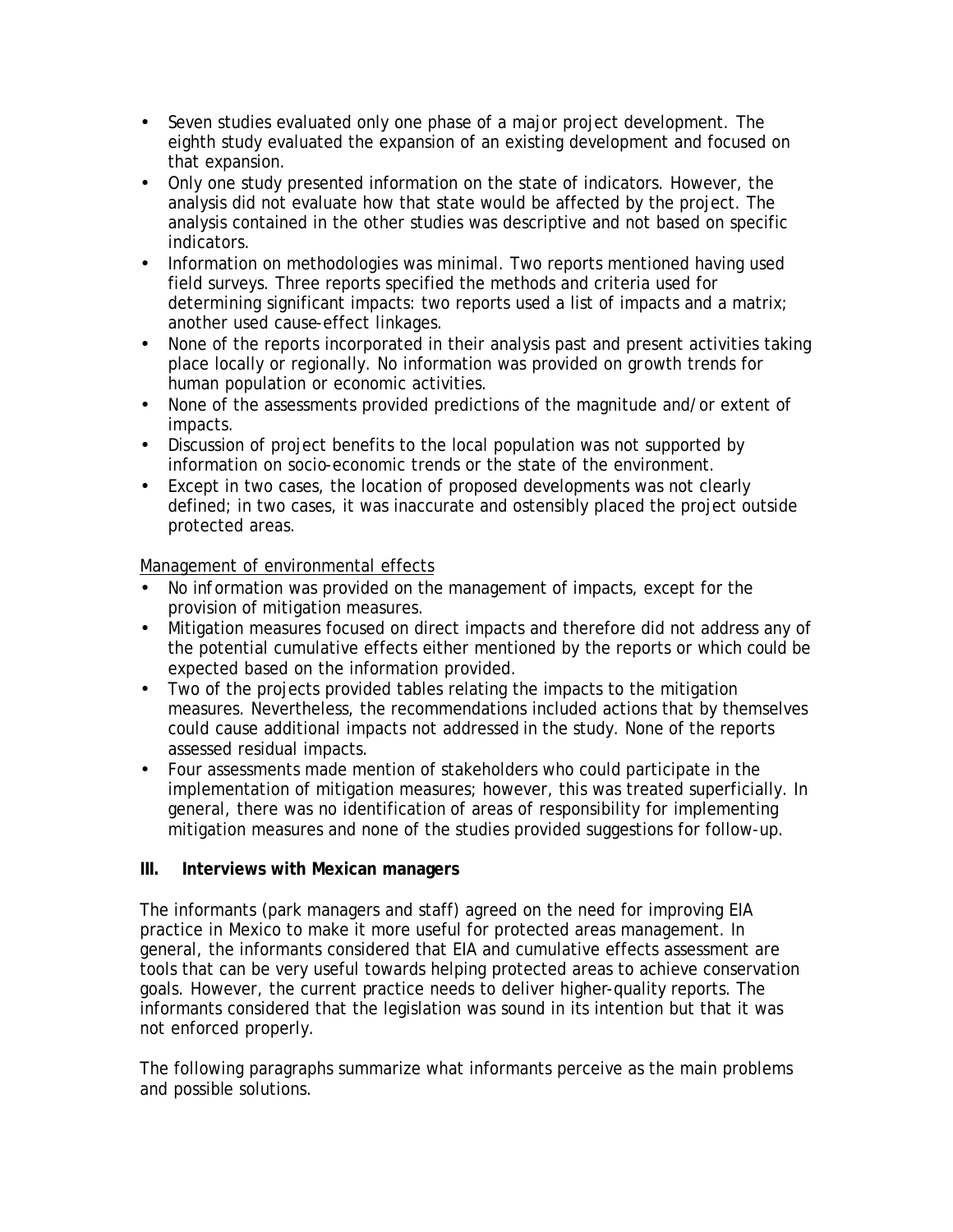- Seven studies evaluated only one phase of a major project development. The eighth study evaluated the expansion of an existing development and focused on that expansion.
- Only one study presented information on the state of indicators. However, the analysis did not evaluate how that state would be affected by the project. The analysis contained in the other studies was descriptive and not based on specific indicators.
- Information on methodologies was minimal. Two reports mentioned having used field surveys. Three reports specified the methods and criteria used for determining significant impacts: two reports used a list of impacts and a matrix; another used cause-effect linkages.
- None of the reports incorporated in their analysis past and present activities taking place locally or regionally. No information was provided on growth trends for human population or economic activities.
- None of the assessments provided predictions of the magnitude and/or extent of impacts.
- Discussion of project benefits to the local population was not supported by information on socio-economic trends or the state of the environment.
- Except in two cases, the location of proposed developments was not clearly defined; in two cases, it was inaccurate and ostensibly placed the project outside protected areas.

## Management of environmental effects

- No information was provided on the management of impacts, except for the provision of mitigation measures.
- Mitigation measures focused on direct impacts and therefore did not address any of the potential cumulative effects either mentioned by the reports or which could be expected based on the information provided.
- Two of the projects provided tables relating the impacts to the mitigation measures. Nevertheless, the recommendations included actions that by themselves could cause additional impacts not addressed in the study. None of the reports assessed residual impacts.
- Four assessments made mention of stakeholders who could participate in the implementation of mitigation measures; however, this was treated superficially. In general, there was no identification of areas of responsibility for implementing mitigation measures and none of the studies provided suggestions for follow-up.

## **III. Interviews with Mexican managers**

The informants (park managers and staff) agreed on the need for improving EIA practice in Mexico to make it more useful for protected areas management. In general, the informants considered that EIA and cumulative effects assessment are tools that can be very useful towards helping protected areas to achieve conservation goals. However, the current practice needs to deliver higher-quality reports. The informants considered that the legislation was sound in its intention but that it was not enforced properly.

The following paragraphs summarize what informants perceive as the main problems and possible solutions.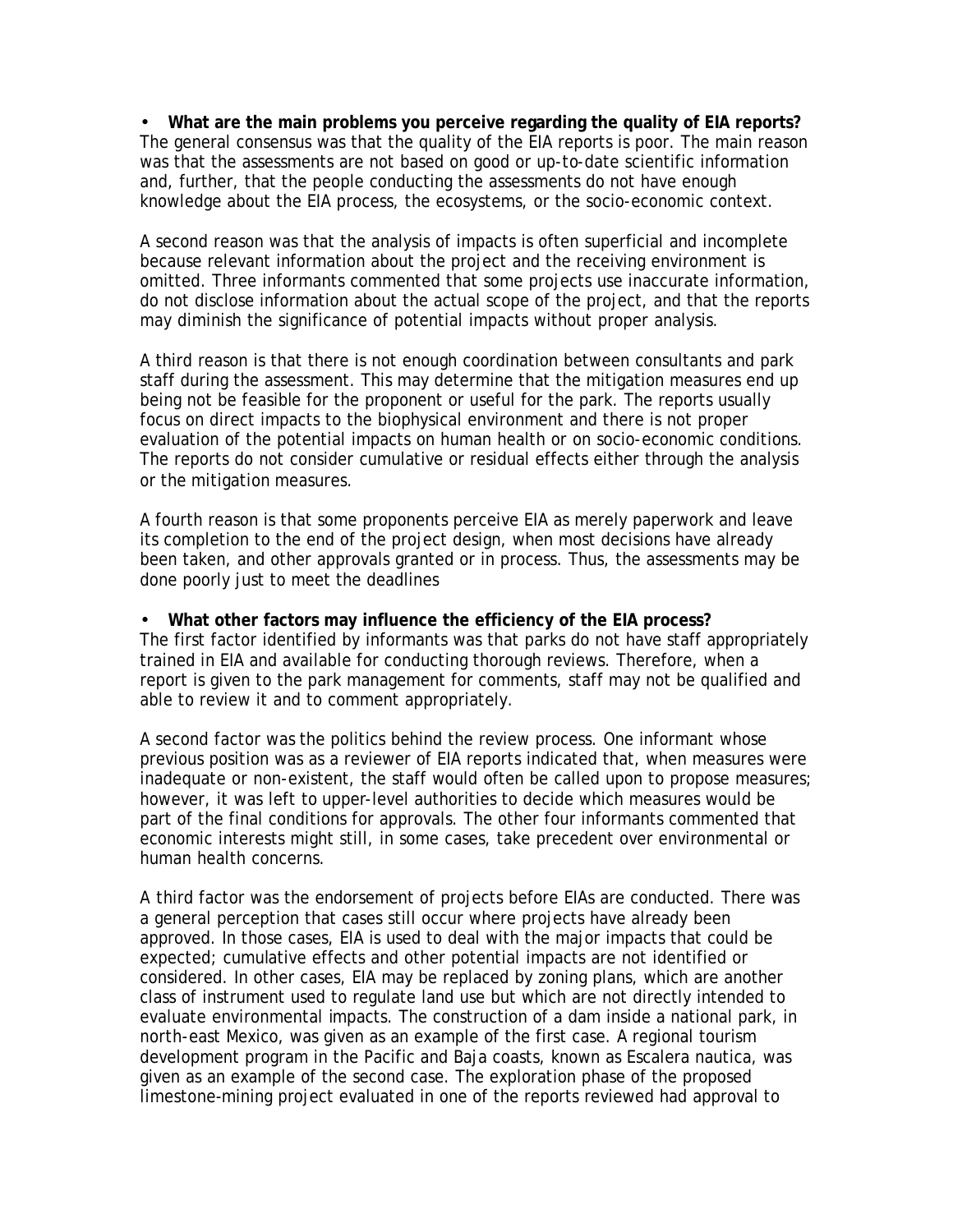• **What are the main problems you perceive regarding the quality of EIA reports?** The general consensus was that the quality of the EIA reports is poor. The main reason was that the assessments are not based on good or up-to-date scientific information and, further, that the people conducting the assessments do not have enough knowledge about the EIA process, the ecosystems, or the socio-economic context.

A second reason was that the analysis of impacts is often superficial and incomplete because relevant information about the project and the receiving environment is omitted. Three informants commented that some projects use inaccurate information, do not disclose information about the actual scope of the project, and that the reports may diminish the significance of potential impacts without proper analysis.

A third reason is that there is not enough coordination between consultants and park staff during the assessment. This may determine that the mitigation measures end up being not be feasible for the proponent or useful for the park. The reports usually focus on direct impacts to the biophysical environment and there is not proper evaluation of the potential impacts on human health or on socio-economic conditions. The reports do not consider cumulative or residual effects either through the analysis or the mitigation measures.

A fourth reason is that some proponents perceive EIA as merely paperwork and leave its completion to the end of the project design, when most decisions have already been taken, and other approvals granted or in process. Thus, the assessments may be done poorly just to meet the deadlines

#### • **What other factors may influence the efficiency of the EIA process?**

The first factor identified by informants was that parks do not have staff appropriately trained in EIA and available for conducting thorough reviews. Therefore, when a report is given to the park management for comments, staff may not be qualified and able to review it and to comment appropriately.

A second factor was the politics behind the review process. One informant whose previous position was as a reviewer of EIA reports indicated that, when measures were inadequate or non-existent, the staff would often be called upon to propose measures; however, it was left to upper-level authorities to decide which measures would be part of the final conditions for approvals. The other four informants commented that economic interests might still, in some cases, take precedent over environmental or human health concerns.

A third factor was the endorsement of projects before EIAs are conducted. There was a general perception that cases still occur where projects have already been approved. In those cases, EIA is used to deal with the major impacts that could be expected; cumulative effects and other potential impacts are not identified or considered. In other cases, EIA may be replaced by zoning plans, which are another class of instrument used to regulate land use but which are not directly intended to evaluate environmental impacts. The construction of a dam inside a national park, in north-east Mexico, was given as an example of the first case. A regional tourism development program in the Pacific and Baja coasts, known as Escalera nautica, was given as an example of the second case. The exploration phase of the proposed limestone-mining project evaluated in one of the reports reviewed had approval to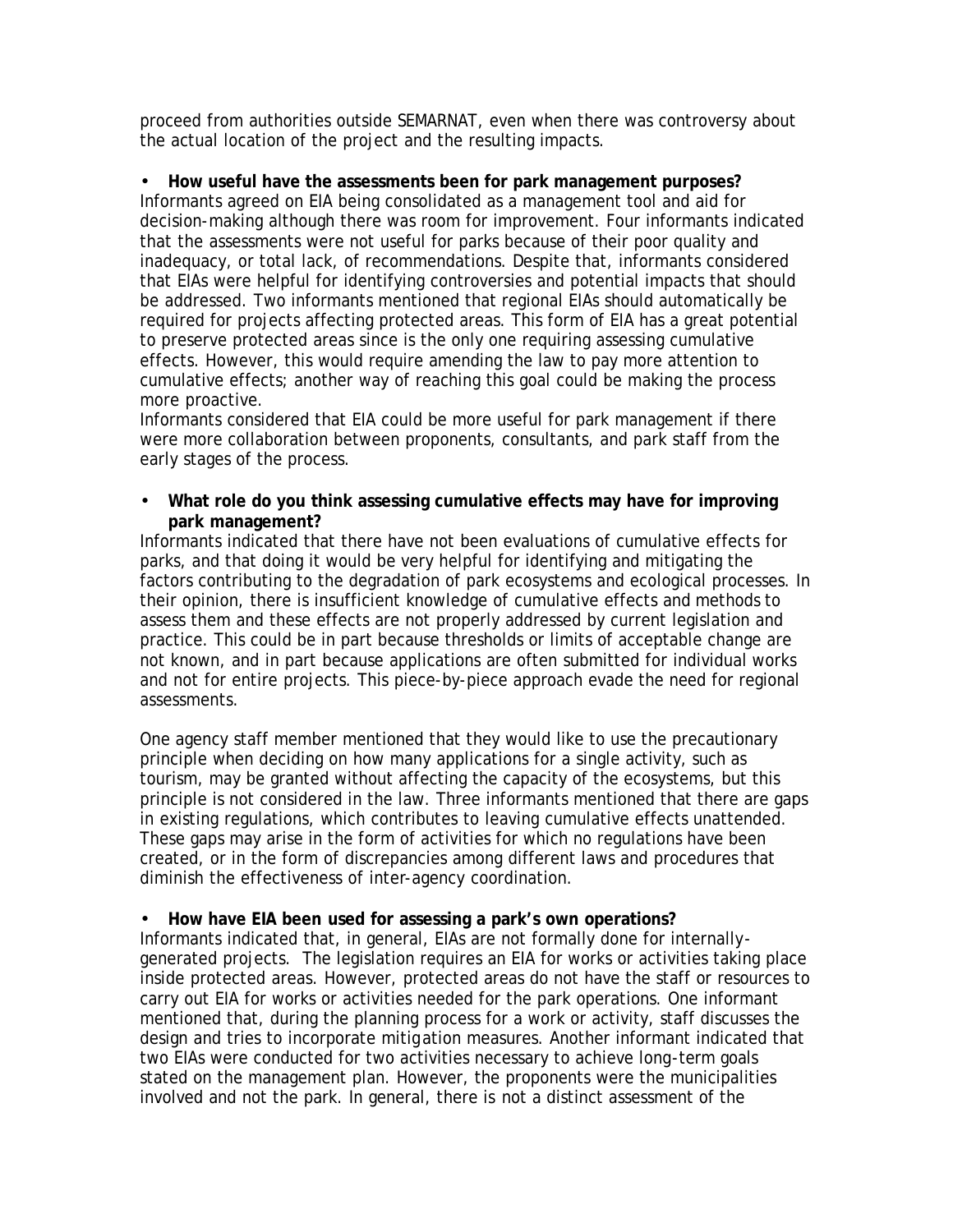proceed from authorities outside SEMARNAT, even when there was controversy about the actual location of the project and the resulting impacts.

### • **How useful have the assessments been for park management purposes?**

Informants agreed on EIA being consolidated as a management tool and aid for decision-making although there was room for improvement. Four informants indicated that the assessments were not useful for parks because of their poor quality and inadequacy, or total lack, of recommendations. Despite that, informants considered that EIAs were helpful for identifying controversies and potential impacts that should be addressed. Two informants mentioned that regional EIAs should automatically be required for projects affecting protected areas. This form of EIA has a great potential to preserve protected areas since is the only one requiring assessing cumulative effects. However, this would require amending the law to pay more attention to cumulative effects; another way of reaching this goal could be making the process more proactive.

Informants considered that EIA could be more useful for park management if there were more collaboration between proponents, consultants, and park staff from the early stages of the process.

#### • **What role do you think assessing cumulative effects may have for improving park management?**

Informants indicated that there have not been evaluations of cumulative effects for parks, and that doing it would be very helpful for identifying and mitigating the factors contributing to the degradation of park ecosystems and ecological processes. In their opinion, there is insufficient knowledge of cumulative effects and methods to assess them and these effects are not properly addressed by current legislation and practice. This could be in part because thresholds or limits of acceptable change are not known, and in part because applications are often submitted for individual works and not for entire projects. This piece-by-piece approach evade the need for regional assessments.

One agency staff member mentioned that they would like to use the precautionary principle when deciding on how many applications for a single activity, such as tourism, may be granted without affecting the capacity of the ecosystems, but this principle is not considered in the law. Three informants mentioned that there are gaps in existing regulations, which contributes to leaving cumulative effects unattended. These gaps may arise in the form of activities for which no regulations have been created, or in the form of discrepancies among different laws and procedures that diminish the effectiveness of inter-agency coordination.

### • **How have EIA been used for assessing a park's own operations?**

Informants indicated that, in general, EIAs are not formally done for internallygenerated projects. The legislation requires an EIA for works or activities taking place inside protected areas. However, protected areas do not have the staff or resources to carry out EIA for works or activities needed for the park operations. One informant mentioned that, during the planning process for a work or activity, staff discusses the design and tries to incorporate mitigation measures. Another informant indicated that two EIAs were conducted for two activities necessary to achieve long-term goals stated on the management plan. However, the proponents were the municipalities involved and not the park. In general, there is not a distinct assessment of the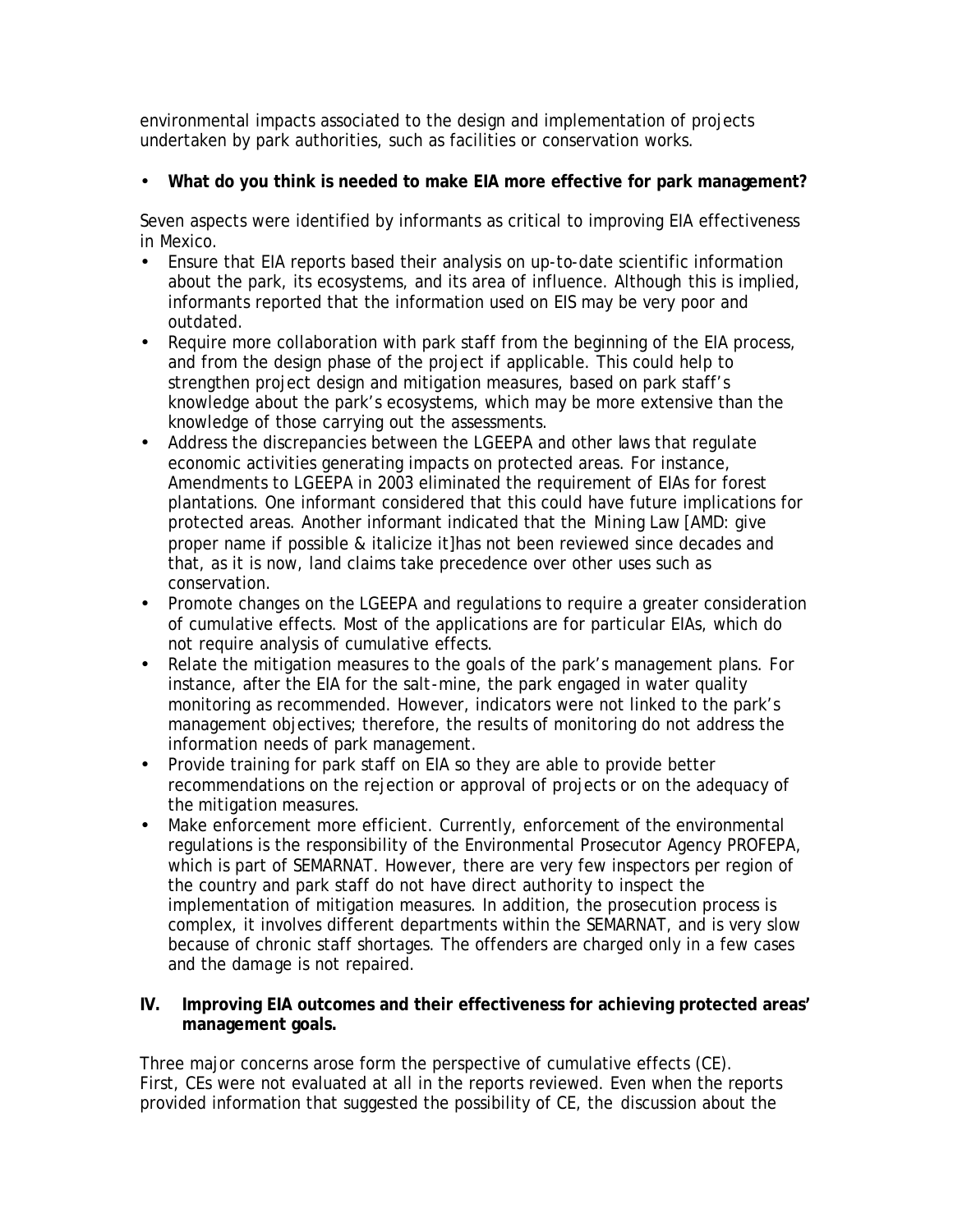environmental impacts associated to the design and implementation of projects undertaken by park authorities, such as facilities or conservation works.

# • **What do you think is needed to make EIA more effective for park management?**

Seven aspects were identified by informants as critical to improving EIA effectiveness in Mexico.

- Ensure that EIA reports based their analysis on up-to-date scientific information about the park, its ecosystems, and its area of influence. Although this is implied, informants reported that the information used on EIS may be very poor and outdated.
- Require more collaboration with park staff from the beginning of the EIA process, and from the design phase of the project if applicable. This could help to strengthen project design and mitigation measures, based on park staff's knowledge about the park's ecosystems, which may be more extensive than the knowledge of those carrying out the assessments.
- Address the discrepancies between the *LGEEPA* and other laws that regulate economic activities generating impacts on protected areas. For instance, Amendments to *LGEEPA* in 2003 eliminated the requirement of EIAs for forest plantations. One informant considered that this could have future implications for protected areas. Another informant indicated that the *Mining Law* [AMD: give proper name if possible & italicize it]has not been reviewed since decades and that, as it is now, land claims take precedence over other uses such as conservation.
- Promote changes on the *LGEEPA* and regulations to require a greater consideration of cumulative effects. Most of the applications are for particular EIAs, which do not require analysis of cumulative effects.
- Relate the mitigation measures to the goals of the park's management plans. For instance, after the EIA for the salt-mine, the park engaged in water quality monitoring as recommended. However, indicators were not linked to the park's management objectives; therefore, the results of monitoring do not address the information needs of park management.
- Provide training for park staff on EIA so they are able to provide better recommendations on the rejection or approval of projects or on the adequacy of the mitigation measures.
- Make enforcement more efficient. Currently, enforcement of the environmental regulations is the responsibility of the Environmental Prosecutor Agency PROFEPA, which is part of SEMARNAT. However, there are very few inspectors per region of the country and park staff do not have direct authority to inspect the implementation of mitigation measures. In addition, the prosecution process is complex, it involves different departments within the SEMARNAT, and is very slow because of chronic staff shortages. The offenders are charged only in a few cases and the damage is not repaired.

### **IV. Improving EIA outcomes and their effectiveness for achieving protected areas' management goals.**

Three major concerns arose form the perspective of cumulative effects (CE). First, CEs were not evaluated at all in the reports reviewed. Even when the reports provided information that suggested the possibility of CE, the discussion about the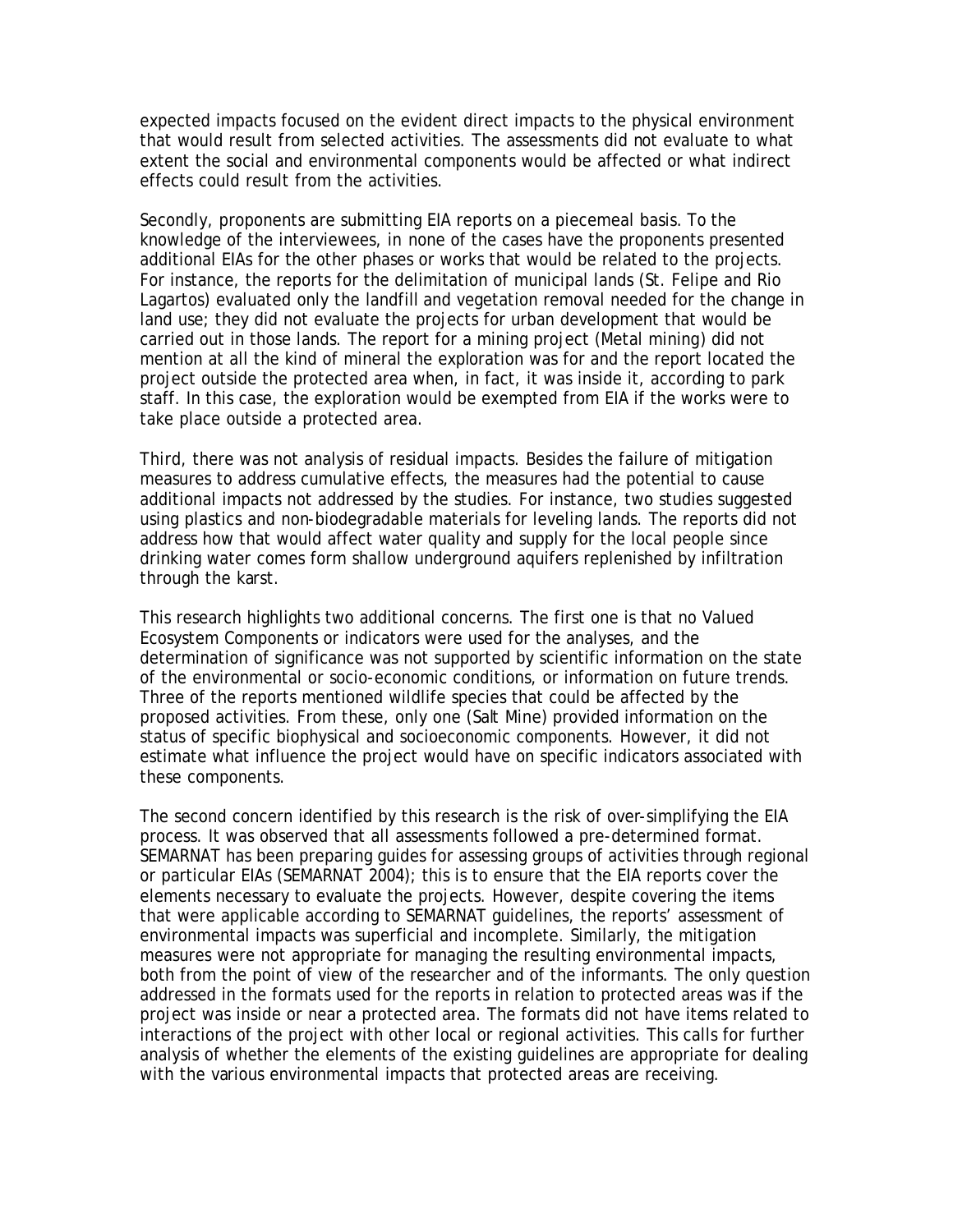expected impacts focused on the evident direct impacts to the physical environment that would result from selected activities. The assessments did not evaluate to what extent the social and environmental components would be affected or what indirect effects could result from the activities.

Secondly, proponents are submitting EIA reports on a piecemeal basis. To the knowledge of the interviewees, in none of the cases have the proponents presented additional EIAs for the other phases or works that would be related to the projects. For instance, the reports for the delimitation of municipal lands (St. Felipe and Rio Lagartos) evaluated only the landfill and vegetation removal needed for the change in land use; they did not evaluate the projects for urban development that would be carried out in those lands. The report for a mining project (Metal mining) did not mention at all the kind of mineral the exploration was for and the report located the project outside the protected area when, in fact, it was inside it, according to park staff. In this case, the exploration would be exempted from EIA if the works were to take place outside a protected area.

Third, there was not analysis of residual impacts. Besides the failure of mitigation measures to address cumulative effects, the measures had the potential to cause additional impacts not addressed by the studies. For instance, two studies suggested using plastics and non-biodegradable materials for leveling lands. The reports did not address how that would affect water quality and supply for the local people since drinking water comes form shallow underground aquifers replenished by infiltration through the karst.

This research highlights two additional concerns. The first one is that no Valued Ecosystem Components or indicators were used for the analyses, and the determination of significance was not supported by scientific information on the state of the environmental or socio-economic conditions, or information on future trends. Three of the reports mentioned wildlife species that could be affected by the proposed activities. From these, only one (Salt Mine) provided information on the status of specific biophysical and socioeconomic components. However, it did not estimate what influence the project would have on specific indicators associated with these components.

The second concern identified by this research is the risk of over-simplifying the EIA process. It was observed that all assessments followed a pre-determined format. SEMARNAT has been preparing guides for assessing groups of activities through regional or particular EIAs (SEMARNAT 2004); this is to ensure that the EIA reports cover the elements necessary to evaluate the projects. However, despite covering the items that were applicable according to SEMARNAT guidelines, the reports' assessment of environmental impacts was superficial and incomplete. Similarly, the mitigation measures were not appropriate for managing the resulting environmental impacts, both from the point of view of the researcher and of the informants. The only question addressed in the formats used for the reports in relation to protected areas was if the project was inside or near a protected area. The formats did not have items related to interactions of the project with other local or regional activities. This calls for further analysis of whether the elements of the existing guidelines are appropriate for dealing with the various environmental impacts that protected areas are receiving.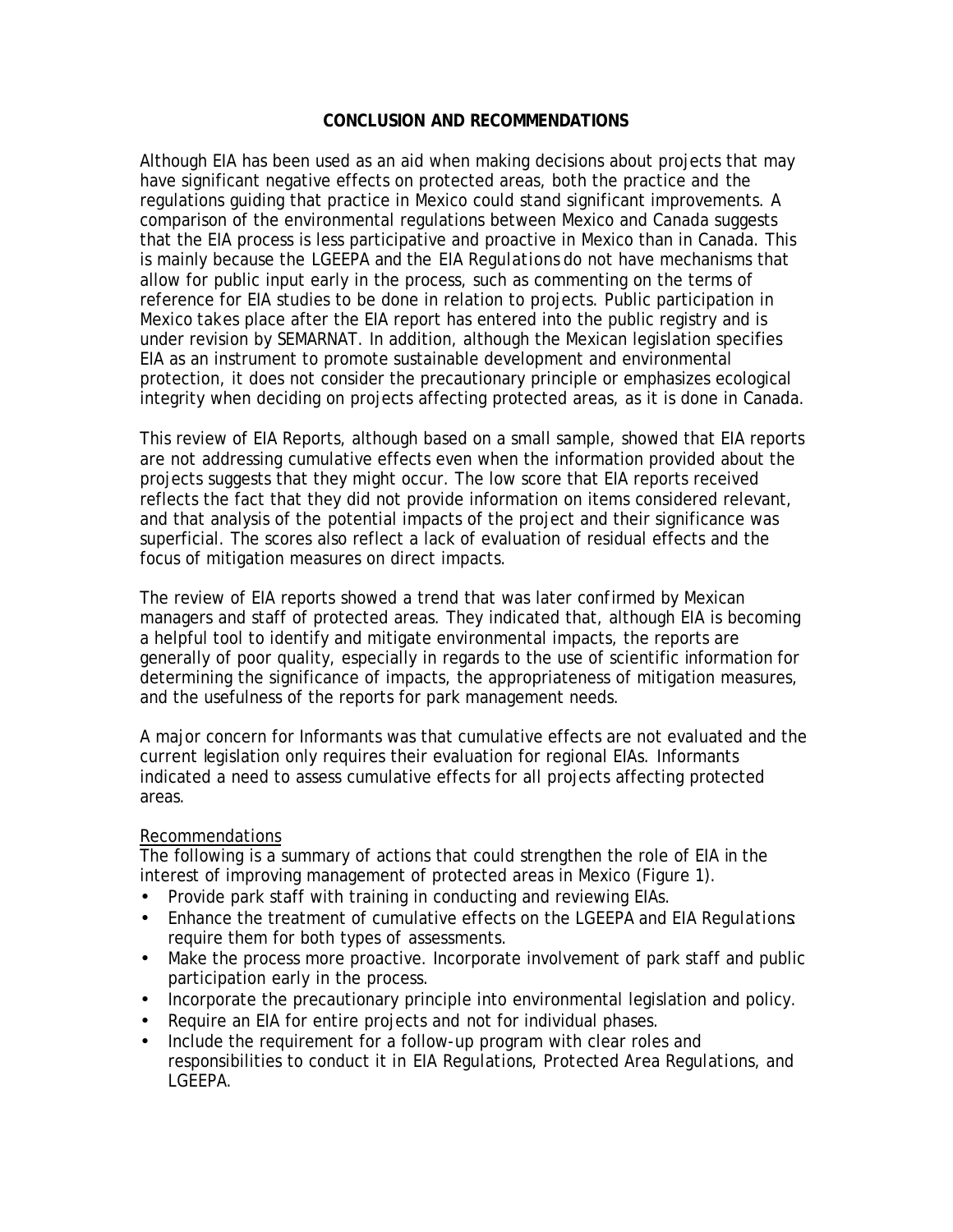#### **CONCLUSION AND RECOMMENDATIONS**

Although EIA has been used as an aid when making decisions about projects that may have significant negative effects on protected areas, both the practice and the regulations guiding that practice in Mexico could stand significant improvements. A comparison of the environmental regulations between Mexico and Canada suggests that the EIA process is less participative and proactive in Mexico than in Canada. This is mainly because the *LGEEPA* and the *EIA Regulations* do not have mechanisms that allow for public input early in the process, such as commenting on the terms of reference for EIA studies to be done in relation to projects. Public participation in Mexico takes place after the EIA report has entered into the public registry and is under revision by SEMARNAT. In addition, although the Mexican legislation specifies EIA as an instrument to promote sustainable development and environmental protection, it does not consider the precautionary principle or emphasizes ecological integrity when deciding on projects affecting protected areas, as it is done in Canada.

This review of EIA Reports, although based on a small sample, showed that EIA reports are not addressing cumulative effects even when the information provided about the projects suggests that they might occur. The low score that EIA reports received reflects the fact that they did not provide information on items considered relevant, and that analysis of the potential impacts of the project and their significance was superficial. The scores also reflect a lack of evaluation of residual effects and the focus of mitigation measures on direct impacts.

The review of EIA reports showed a trend that was later confirmed by Mexican managers and staff of protected areas. They indicated that, although EIA is becoming a helpful tool to identify and mitigate environmental impacts, the reports are generally of poor quality, especially in regards to the use of scientific information for determining the significance of impacts, the appropriateness of mitigation measures, and the usefulness of the reports for park management needs.

A major concern for Informants was that cumulative effects are not evaluated and the current legislation only requires their evaluation for regional EIAs. Informants indicated a need to assess cumulative effects for all projects affecting protected areas.

### Recommendations

The following is a summary of actions that could strengthen the role of EIA in the interest of improving management of protected areas in Mexico (Figure 1).

- Provide park staff with training in conducting and reviewing EIAs.
- Enhance the treatment of cumulative effects on the *LGEEPA* and *EIA Regulations*: require them for both types of assessments.
- Make the process more proactive. Incorporate involvement of park staff and public participation early in the process.
- Incorporate the precautionary principle into environmental legislation and policy.
- Require an EIA for entire projects and not for individual phases.
- Include the requirement for a follow-up program with clear roles and responsibilities to conduct it in *EIA Regulations, Protected Area Regulations,* and *LGEEPA*.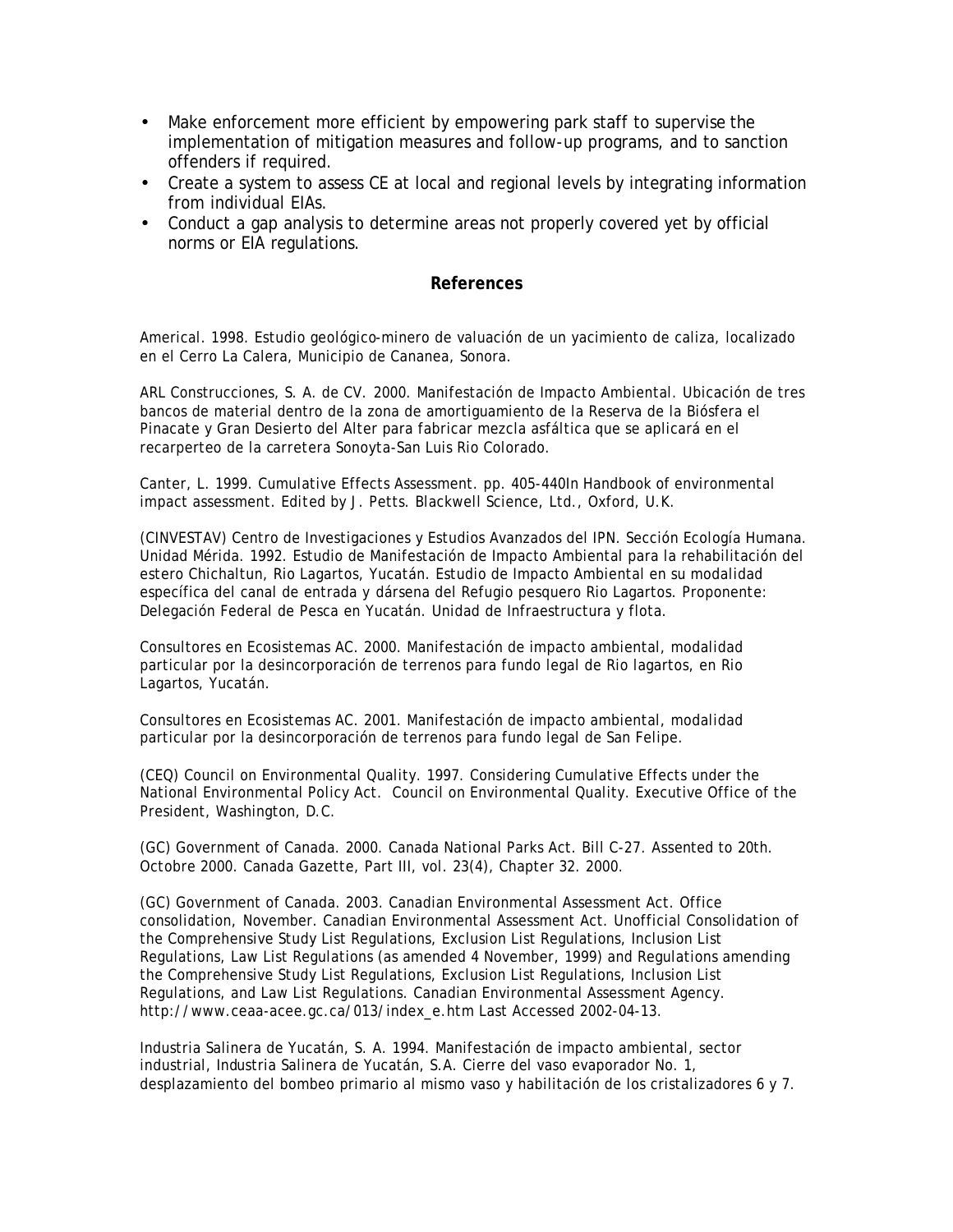- Make enforcement more efficient by empowering park staff to supervise the implementation of mitigation measures and follow-up programs, and to sanction offenders if required.
- Create a system to assess CE at local and regional levels by integrating information from individual EIAs.
- Conduct a gap analysis to determine areas not properly covered yet by official norms or EIA regulations.

#### **References**

Americal. 1998. Estudio geológico-minero de valuación de un yacimiento de caliza, localizado en el Cerro La Calera, Municipio de Cananea, Sonora.

ARL Construcciones, S. A. de CV. 2000. Manifestación de Impacto Ambiental. Ubicación de tres bancos de material dentro de la zona de amortiguamiento de la Reserva de la Biósfera el Pinacate y Gran Desierto del Alter para fabricar mezcla asfáltica que se aplicará en el recarperteo de la carretera Sonoyta-San Luis Rio Colorado.

Canter, L. 1999. Cumulative Effects Assessment. pp. 405-440*In* Handbook of environmental impact assessment. *Edited by* J. Petts. Blackwell Science, Ltd., Oxford, U.K.

(CINVESTAV) Centro de Investigaciones y Estudios Avanzados del IPN. Sección Ecología Humana. Unidad Mérida. 1992. Estudio de Manifestación de Impacto Ambiental para la rehabilitación del estero Chichaltun, Rio Lagartos, Yucatán. Estudio de Impacto Ambiental en su modalidad específica del canal de entrada y dársena del Refugio pesquero Rio Lagartos. Proponente: Delegación Federal de Pesca en Yucatán. Unidad de Infraestructura y flota.

Consultores en Ecosistemas AC. 2000. Manifestación de impacto ambiental, modalidad particular por la desincorporación de terrenos para fundo legal de Rio lagartos, en Rio Lagartos, Yucatán.

Consultores en Ecosistemas AC. 2001. Manifestación de impacto ambiental, modalidad particular por la desincorporación de terrenos para fundo legal de San Felipe.

(CEQ) Council on Environmental Quality. 1997. Considering Cumulative Effects under the National Environmental Policy Act. Council on Environmental Quality. Executive Office of the President, Washington, D.C.

(GC) Government of Canada. 2000. Canada National Parks Act. Bill C-27. Assented to 20th. Octobre 2000. Canada Gazette, Part III, vol. 23(4), Chapter 32. 2000.

(GC) Government of Canada. 2003. Canadian Environmental Assessment Act. Office consolidation, November. Canadian Environmental Assessment Act. Unofficial Consolidation of the Comprehensive Study List Regulations, Exclusion List Regulations, Inclusion List Regulations, Law List Regulations (as amended 4 November, 1999) and Regulations amending the Comprehensive Study List Regulations, Exclusion List Regulations, Inclusion List Regulations, and Law List Regulations. Canadian Environmental Assessment Agency. http://www.ceaa-acee.gc.ca/013/index\_e.htm Last Accessed 2002-04-13.

Industria Salinera de Yucatán, S. A. 1994. Manifestación de impacto ambiental, sector industrial, Industria Salinera de Yucatán, S.A. Cierre del vaso evaporador No. 1, desplazamiento del bombeo primario al mismo vaso y habilitación de los cristalizadores 6 y 7.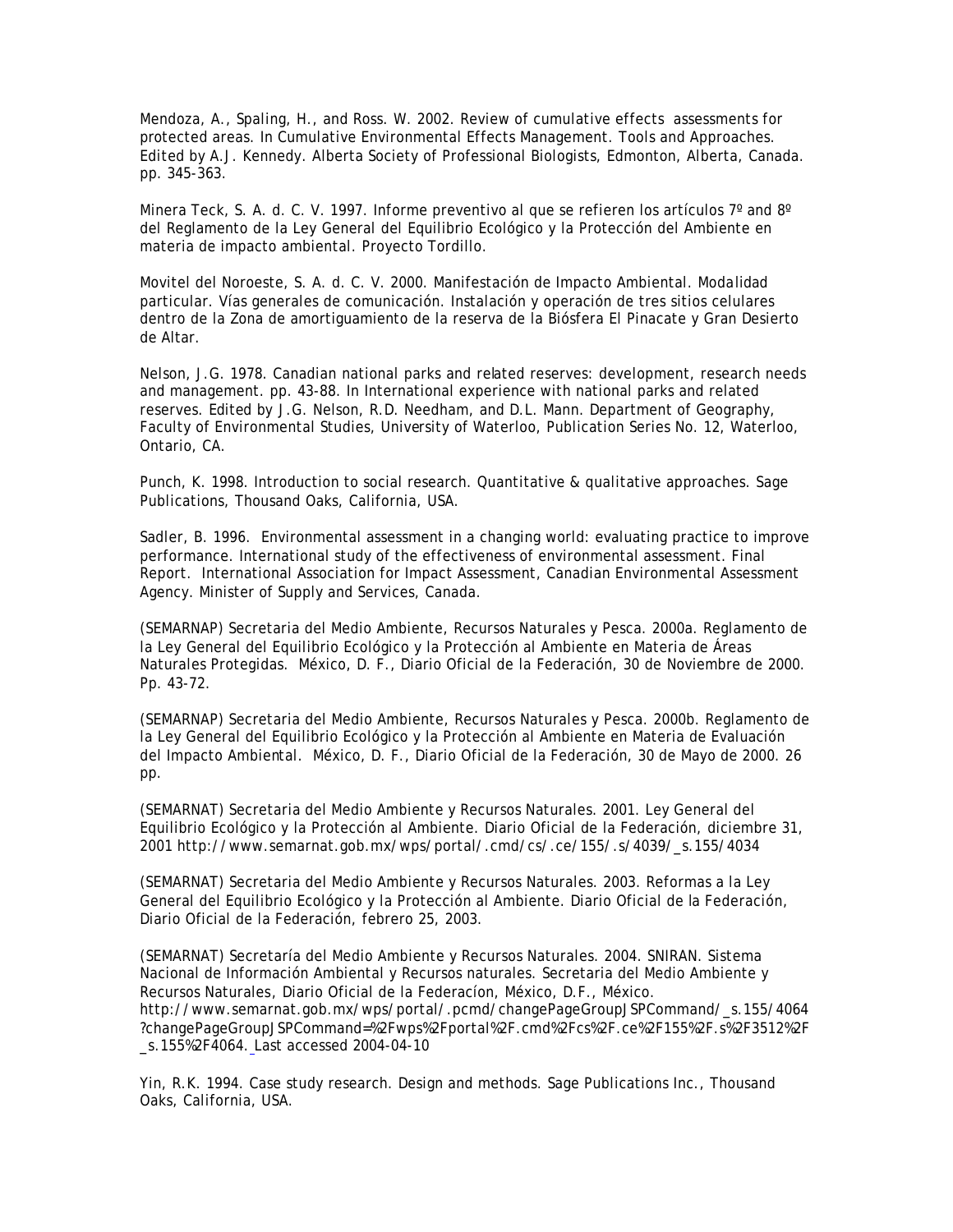Mendoza, A., Spaling, H., and Ross. W. 2002. Review of cumulative effects assessments for protected areas. *In* Cumulative Environmental Effects Management. Tools and Approaches. *Edited by* A.J. Kennedy. Alberta Society of Professional Biologists, Edmonton, Alberta, Canada. pp. 345-363.

Minera Teck, S. A. d. C. V. 1997. Informe preventivo al que se refieren los artículos 7° and 8° del Reglamento de la Ley General del Equilibrio Ecológico y la Protección del Ambiente en materia de impacto ambiental. Proyecto Tordillo.

Movitel del Noroeste, S. A. d. C. V. 2000. Manifestación de Impacto Ambiental. Modalidad particular. Vías generales de comunicación. Instalación y operación de tres sitios celulares dentro de la Zona de amortiguamiento de la reserva de la Biósfera El Pinacate y Gran Desierto de Altar.

Nelson, J.G. 1978. Canadian national parks and related reserves: development, research needs and management. pp. 43-88. *In* International experience with national parks and related reserves. *Edited by* J.G. Nelson, R.D. Needham, and D.L. Mann. Department of Geography, Faculty of Environmental Studies, University of Waterloo, Publication Series No. 12, Waterloo, Ontario, CA.

Punch, K. 1998. Introduction to social research. Quantitative & qualitative approaches. Sage Publications, Thousand Oaks, California, USA.

Sadler, B. 1996. Environmental assessment in a changing world: evaluating practice to improve performance. International study of the effectiveness of environmental assessment. Final Report. International Association for Impact Assessment, Canadian Environmental Assessment Agency. Minister of Supply and Services, Canada.

(SEMARNAP) Secretaria del Medio Ambiente, Recursos Naturales y Pesca. 2000a. Reglamento de la Ley General del Equilibrio Ecológico y la Protección al Ambiente en Materia de Áreas Naturales Protegidas. México, D. F., Diario Oficial de la Federación, 30 de Noviembre de 2000. Pp. 43-72.

(SEMARNAP) Secretaria del Medio Ambiente, Recursos Naturales y Pesca. 2000b. Reglamento de la Ley General del Equilibrio Ecológico y la Protección al Ambiente en Materia de Evaluación del Impacto Ambiental. México, D. F., Diario Oficial de la Federación, 30 de Mayo de 2000. 26 pp.

(SEMARNAT) Secretaria del Medio Ambiente y Recursos Naturales. 2001. Ley General del Equilibrio Ecológico y la Protección al Ambiente. Diario Oficial de la Federación, diciembre 31, 2001 http://www.semarnat.gob.mx/wps/portal/.cmd/cs/.ce/155/.s/4039/\_s.155/4034

(SEMARNAT) Secretaria del Medio Ambiente y Recursos Naturales. 2003. Reformas a la Ley General del Equilibrio Ecológico y la Protección al Ambiente. Diario Oficial de la Federación, Diario Oficial de la Federación, febrero 25, 2003.

(SEMARNAT) Secretaría del Medio Ambiente y Recursos Naturales. 2004. SNIRAN. Sistema Nacional de Información Ambiental y Recursos naturales. Secretaria del Medio Ambiente y Recursos Naturales, Diario Oficial de la Federacíon, México, D.F., México. http://www.semarnat.gob.mx/wps/portal/.pcmd/changePageGroupJSPCommand/\_s.155/4064 ?changePageGroupJSPCommand=%2Fwps%2Fportal%2F.cmd%2Fcs%2F.ce%2F155%2F.s%2F3512%2F \_s.155%2F4064. Last accessed 2004-04-10

Yin, R.K. 1994. Case study research. Design and methods. Sage Publications Inc., Thousand Oaks, California, USA.